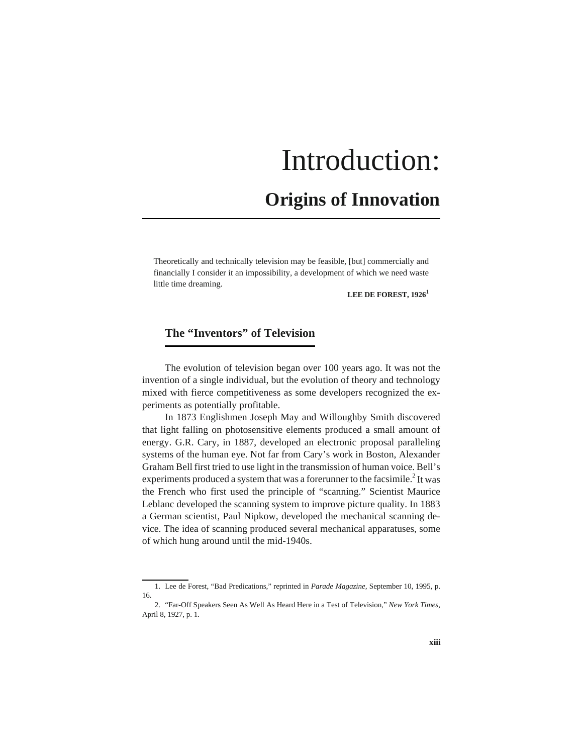# Introduction: **Origins of Innovation**

Theoretically and technically television may be feasible, [but] commercially and financially I consider it an impossibility, a development of which we need waste little time dreaming.

**LEE DE FOREST, 1926**<sup>1</sup>

# **The "Inventors" of Television**

The evolution of television began over 100 years ago. It was not the invention of a single individual, but the evolution of theory and technology mixed with fierce competitiveness as some developers recognized the experiments as potentially profitable.

In 1873 Englishmen Joseph May and Willoughby Smith discovered that light falling on photosensitive elements produced a small amount of energy. G.R. Cary, in 1887, developed an electronic proposal paralleling systems of the human eye. Not far from Cary's work in Boston, Alexander Graham Bell first tried to use light in the transmission of human voice. Bell's experiments produced a system that was a forerunner to the facsimile.<sup>2</sup> It was the French who first used the principle of "scanning." Scientist Maurice Leblanc developed the scanning system to improve picture quality. In 1883 a German scientist, Paul Nipkow, developed the mechanical scanning device. The idea of scanning produced several mechanical apparatuses, some of which hung around until the mid-1940s.

<sup>1.</sup> Lee de Forest, "Bad Predications," reprinted in *Parade Magazine,* September 10, 1995, p. 16.

<sup>2. &</sup>quot;Far-Off Speakers Seen As Well As Heard Here in a Test of Television," *New York Times,* April 8, 1927, p. 1.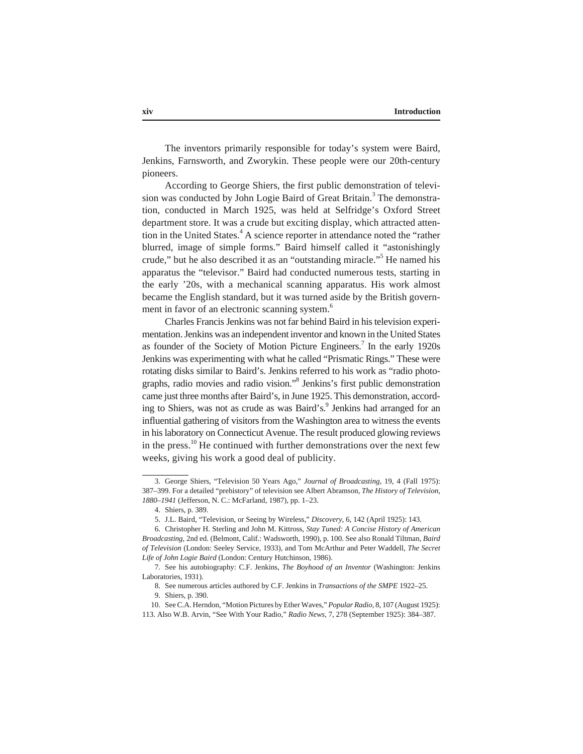The inventors primarily responsible for today's system were Baird, Jenkins, Farnsworth, and Zworykin. These people were our 20th-century pioneers.

According to George Shiers, the first public demonstration of television was conducted by John Logie Baird of Great Britain.<sup>3</sup> The demonstration, conducted in March 1925, was held at Selfridge's Oxford Street department store. It was a crude but exciting display, which attracted attention in the United States.<sup>4</sup> A science reporter in attendance noted the "rather blurred, image of simple forms." Baird himself called it "astonishingly crude," but he also described it as an "outstanding miracle."<sup>5</sup> He named his apparatus the "televisor." Baird had conducted numerous tests, starting in the early '20s, with a mechanical scanning apparatus. His work almost became the English standard, but it was turned aside by the British government in favor of an electronic scanning system.<sup>6</sup>

Charles Francis Jenkins was not far behind Baird in his television experimentation. Jenkins was an independent inventor and known in the United States as founder of the Society of Motion Picture Engineers.<sup>7</sup> In the early 1920s Jenkins was experimenting with what he called "Prismatic Rings." These were rotating disks similar to Baird's. Jenkins referred to his work as "radio photographs, radio movies and radio vision."8 Jenkins's first public demonstration came just three months after Baird's, in June 1925. This demonstration, according to Shiers, was not as crude as was Baird's.<sup>9</sup> Jenkins had arranged for an influential gathering of visitors from the Washington area to witness the events in his laboratory on Connecticut Avenue. The result produced glowing reviews in the press.<sup>10</sup> He continued with further demonstrations over the next few weeks, giving his work a good deal of publicity.

<sup>3.</sup> George Shiers, "Television 50 Years Ago," *Journal of Broadcasting*, 19, 4 (Fall 1975): 387–399. For a detailed "prehistory" of television see Albert Abramson, *The History of Television, 1880–1941* (Jefferson, N. C.: McFarland, 1987), pp. 1–23.

<sup>4.</sup> Shiers, p. 389.

<sup>5.</sup> J.L. Baird, "Television, or Seeing by Wireless," *Discovery*, 6, 142 (April 1925): 143.

<sup>6.</sup> Christopher H. Sterling and John M. Kittross, *Stay Tuned: A Concise History of American Broadcasting*, 2nd ed. (Belmont, Calif.: Wadsworth, 1990), p. 100. See also Ronald Tiltman, *Baird of Television* (London: Seeley Service, 1933), and Tom McArthur and Peter Waddell, *The Secret Life of John Logie Baird* (London: Century Hutchinson, 1986).

<sup>7.</sup> See his autobiography: C.F. Jenkins, *The Boyhood of an Inventor* (Washington: Jenkins Laboratories, 1931).

<sup>8.</sup> See numerous articles authored by C.F. Jenkins in *Transactions of the SMPE* 1922–25. 9. Shiers, p. 390.

<sup>10.</sup> See C.A. Herndon, "Motion Pictures by Ether Waves," *Popular Radio,* 8, 107 (August 1925): 113. Also W.B. Arvin, "See With Your Radio," *Radio News,* 7, 278 (September 1925): 384–387.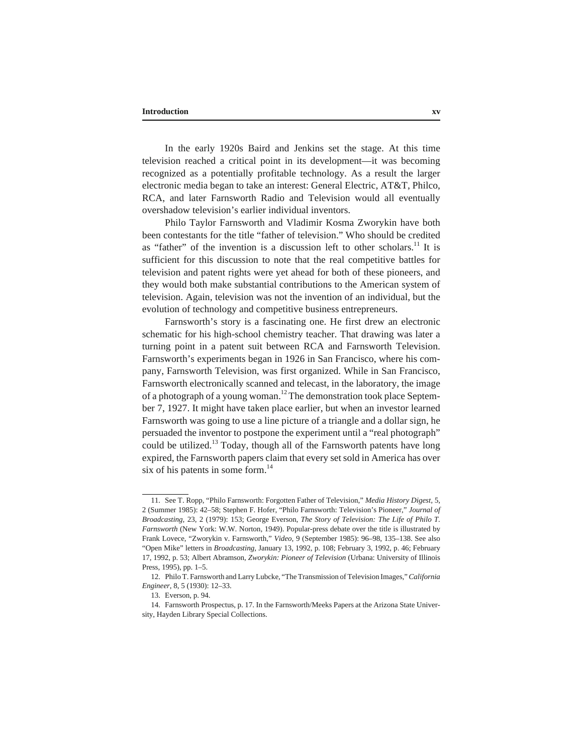In the early 1920s Baird and Jenkins set the stage. At this time television reached a critical point in its development—it was becoming recognized as a potentially profitable technology. As a result the larger electronic media began to take an interest: General Electric, AT&T, Philco, RCA, and later Farnsworth Radio and Television would all eventually overshadow television's earlier individual inventors.

Philo Taylor Farnsworth and Vladimir Kosma Zworykin have both been contestants for the title "father of television." Who should be credited as "father" of the invention is a discussion left to other scholars.<sup>11</sup> It is sufficient for this discussion to note that the real competitive battles for television and patent rights were yet ahead for both of these pioneers, and they would both make substantial contributions to the American system of television. Again, television was not the invention of an individual, but the evolution of technology and competitive business entrepreneurs.

Farnsworth's story is a fascinating one. He first drew an electronic schematic for his high-school chemistry teacher. That drawing was later a turning point in a patent suit between RCA and Farnsworth Television. Farnsworth's experiments began in 1926 in San Francisco, where his company, Farnsworth Television, was first organized. While in San Francisco, Farnsworth electronically scanned and telecast, in the laboratory, the image of a photograph of a young woman.<sup>12</sup> The demonstration took place September 7, 1927. It might have taken place earlier, but when an investor learned Farnsworth was going to use a line picture of a triangle and a dollar sign, he persuaded the inventor to postpone the experiment until a "real photograph" could be utilized.<sup>13</sup> Today, though all of the Farnsworth patents have long expired, the Farnsworth papers claim that every set sold in America has over six of his patents in some form. $^{14}$ 

<sup>11.</sup> See T. Ropp, "Philo Farnsworth: Forgotten Father of Television," *Media History Digest,* 5, 2 (Summer 1985): 42–58; Stephen F. Hofer, "Philo Farnsworth: Television's Pioneer," *Journal of Broadcasting,* 23, 2 (1979): 153; George Everson, *The Story of Television: The Life of Philo T. Farnsworth* (New York: W.W. Norton, 1949). Popular-press debate over the title is illustrated by Frank Lovece, "Zworykin v. Farnsworth," *Video,* 9 (September 1985): 96–98, 135–138. See also "Open Mike" letters in *Broadcasting,* January 13, 1992, p. 108; February 3, 1992, p. 46; February 17, 1992, p. 53; Albert Abramson, *Zworykin: Pioneer of Television* (Urbana: University of Illinois Press, 1995), pp. 1–5.

<sup>12.</sup> Philo T. Farnsworth and Larry Lubcke, "The Transmission of Television Images,"*California Engineer*, 8, 5 (1930): 12–33.

<sup>13.</sup> Everson, p. 94.

<sup>14.</sup> Farnsworth Prospectus, p. 17. In the Farnsworth/Meeks Papers at the Arizona State University, Hayden Library Special Collections.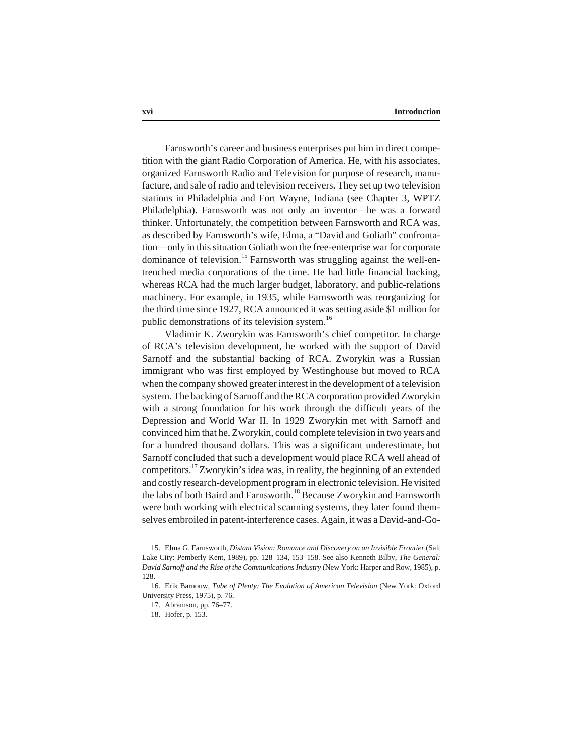Farnsworth's career and business enterprises put him in direct competition with the giant Radio Corporation of America. He, with his associates, organized Farnsworth Radio and Television for purpose of research, manufacture, and sale of radio and television receivers. They set up two television stations in Philadelphia and Fort Wayne, Indiana (see Chapter 3, WPTZ Philadelphia). Farnsworth was not only an inventor—he was a forward thinker. Unfortunately, the competition between Farnsworth and RCA was, as described by Farnsworth's wife, Elma, a "David and Goliath" confrontation—only in this situation Goliath won the free-enterprise war for corporate dominance of television.<sup>15</sup> Farnsworth was struggling against the well-entrenched media corporations of the time. He had little financial backing, whereas RCA had the much larger budget, laboratory, and public-relations machinery. For example, in 1935, while Farnsworth was reorganizing for the third time since 1927, RCA announced it was setting aside \$1 million for public demonstrations of its television system.<sup>16</sup>

Vladimir K. Zworykin was Farnsworth's chief competitor. In charge of RCA's television development, he worked with the support of David Sarnoff and the substantial backing of RCA. Zworykin was a Russian immigrant who was first employed by Westinghouse but moved to RCA when the company showed greater interest in the development of a television system. The backing of Sarnoff and the RCA corporation provided Zworykin with a strong foundation for his work through the difficult years of the Depression and World War II. In 1929 Zworykin met with Sarnoff and convinced him that he, Zworykin, could complete television in two years and for a hundred thousand dollars. This was a significant underestimate, but Sarnoff concluded that such a development would place RCA well ahead of competitors.17 Zworykin's idea was, in reality, the beginning of an extended and costly research-development program in electronic television. He visited the labs of both Baird and Farnsworth.<sup>18</sup> Because Zworykin and Farnsworth were both working with electrical scanning systems, they later found themselves embroiled in patent-interference cases. Again, it was a David-and-Go-

<sup>15.</sup> Elma G. Farnsworth, *Distant Vision: Romance and Discovery on an Invisible Frontier* (Salt Lake City: Pemberly Kent, 1989), pp. 128–134, 153–158. See also Kenneth Bilby, *The General: David Sarnoff and the Rise of the Communications Industry* (New York: Harper and Row, 1985), p. 128.

<sup>16.</sup> Erik Barnouw, *Tube of Plenty: The Evolution of American Television* (New York: Oxford University Press, 1975), p. 76.

<sup>17.</sup> Abramson, pp. 76–77.

<sup>18.</sup> Hofer, p. 153.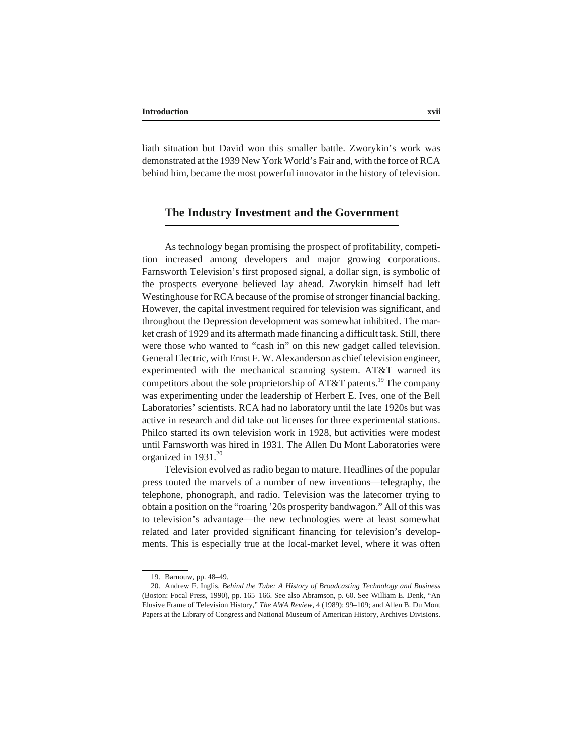liath situation but David won this smaller battle. Zworykin's work was demonstrated at the 1939 New York World's Fair and, with the force of RCA behind him, became the most powerful innovator in the history of television.

## **The Industry Investment and the Government**

As technology began promising the prospect of profitability, competition increased among developers and major growing corporations. Farnsworth Television's first proposed signal, a dollar sign, is symbolic of the prospects everyone believed lay ahead. Zworykin himself had left Westinghouse for RCA because of the promise of stronger financial backing. However, the capital investment required for television was significant, and throughout the Depression development was somewhat inhibited. The market crash of 1929 and its aftermath made financing a difficult task. Still, there were those who wanted to "cash in" on this new gadget called television. General Electric, with Ernst F. W. Alexanderson as chief television engineer, experimented with the mechanical scanning system. AT&T warned its competitors about the sole proprietorship of AT&T patents.<sup>19</sup> The company was experimenting under the leadership of Herbert E. Ives, one of the Bell Laboratories' scientists. RCA had no laboratory until the late 1920s but was active in research and did take out licenses for three experimental stations. Philco started its own television work in 1928, but activities were modest until Farnsworth was hired in 1931. The Allen Du Mont Laboratories were organized in 1931.<sup>20</sup>

Television evolved as radio began to mature. Headlines of the popular press touted the marvels of a number of new inventions—telegraphy, the telephone, phonograph, and radio. Television was the latecomer trying to obtain a position on the "roaring '20s prosperity bandwagon." All of this was to television's advantage—the new technologies were at least somewhat related and later provided significant financing for television's developments. This is especially true at the local-market level, where it was often

<sup>19.</sup> Barnouw, pp. 48–49.

<sup>20.</sup> Andrew F. Inglis, *Behind the Tube: A History of Broadcasting Technology and Business* (Boston: Focal Press, 1990), pp. 165–166. See also Abramson, p. 60. See William E. Denk, "An Elusive Frame of Television History," *The AWA Review,* 4 (1989): 99–109; and Allen B. Du Mont Papers at the Library of Congress and National Museum of American History, Archives Divisions.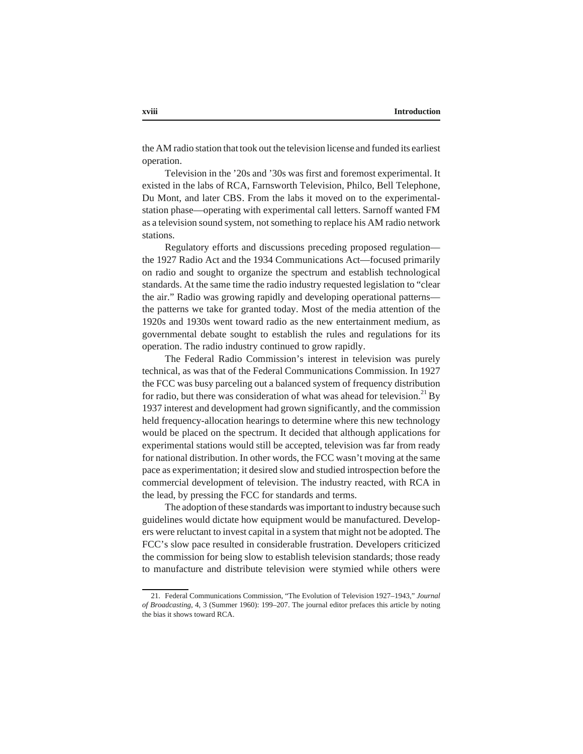the AM radio station that took out the television license and funded its earliest operation.

Television in the '20s and '30s was first and foremost experimental. It existed in the labs of RCA, Farnsworth Television, Philco, Bell Telephone, Du Mont, and later CBS. From the labs it moved on to the experimentalstation phase—operating with experimental call letters. Sarnoff wanted FM as a television sound system, not something to replace his AM radio network stations.

Regulatory efforts and discussions preceding proposed regulation the 1927 Radio Act and the 1934 Communications Act—focused primarily on radio and sought to organize the spectrum and establish technological standards. At the same time the radio industry requested legislation to "clear the air." Radio was growing rapidly and developing operational patterns the patterns we take for granted today. Most of the media attention of the 1920s and 1930s went toward radio as the new entertainment medium, as governmental debate sought to establish the rules and regulations for its operation. The radio industry continued to grow rapidly.

The Federal Radio Commission's interest in television was purely technical, as was that of the Federal Communications Commission. In 1927 the FCC was busy parceling out a balanced system of frequency distribution for radio, but there was consideration of what was ahead for television.<sup>21</sup> By 1937 interest and development had grown significantly, and the commission held frequency-allocation hearings to determine where this new technology would be placed on the spectrum. It decided that although applications for experimental stations would still be accepted, television was far from ready for national distribution. In other words, the FCC wasn't moving at the same pace as experimentation; it desired slow and studied introspection before the commercial development of television. The industry reacted, with RCA in the lead, by pressing the FCC for standards and terms.

The adoption of these standards was important to industry because such guidelines would dictate how equipment would be manufactured. Developers were reluctant to invest capital in a system that might not be adopted. The FCC's slow pace resulted in considerable frustration. Developers criticized the commission for being slow to establish television standards; those ready to manufacture and distribute television were stymied while others were

<sup>21.</sup> Federal Communications Commission, "The Evolution of Television 1927–1943," *Journal of Broadcasting*, 4, 3 (Summer 1960): 199–207. The journal editor prefaces this article by noting the bias it shows toward RCA.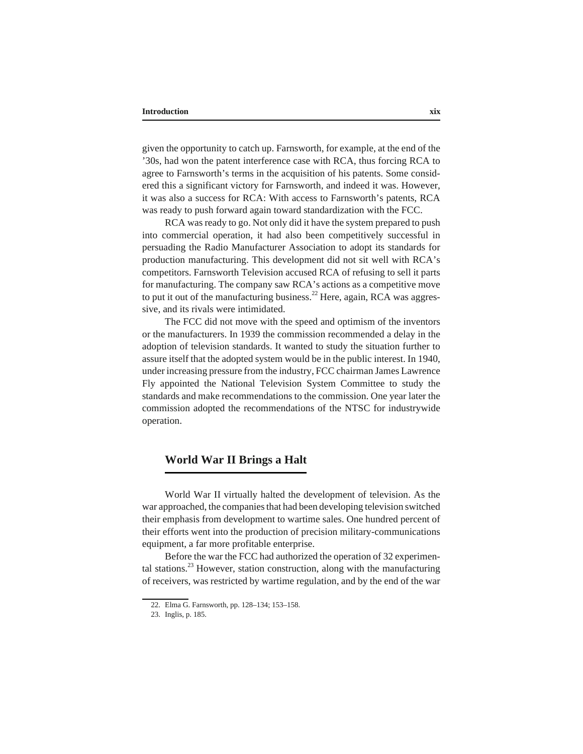given the opportunity to catch up. Farnsworth, for example, at the end of the '30s, had won the patent interference case with RCA, thus forcing RCA to agree to Farnsworth's terms in the acquisition of his patents. Some considered this a significant victory for Farnsworth, and indeed it was. However, it was also a success for RCA: With access to Farnsworth's patents, RCA was ready to push forward again toward standardization with the FCC.

RCA was ready to go. Not only did it have the system prepared to push into commercial operation, it had also been competitively successful in persuading the Radio Manufacturer Association to adopt its standards for production manufacturing. This development did not sit well with RCA's competitors. Farnsworth Television accused RCA of refusing to sell it parts for manufacturing. The company saw RCA's actions as a competitive move to put it out of the manufacturing business.<sup>22</sup> Here, again, RCA was aggressive, and its rivals were intimidated.

The FCC did not move with the speed and optimism of the inventors or the manufacturers. In 1939 the commission recommended a delay in the adoption of television standards. It wanted to study the situation further to assure itself that the adopted system would be in the public interest. In 1940, under increasing pressure from the industry, FCC chairman James Lawrence Fly appointed the National Television System Committee to study the standards and make recommendations to the commission. One year later the commission adopted the recommendations of the NTSC for industrywide operation.

#### **World War II Brings a Halt**

World War II virtually halted the development of television. As the war approached, the companies that had been developing television switched their emphasis from development to wartime sales. One hundred percent of their efforts went into the production of precision military-communications equipment, a far more profitable enterprise.

Before the war the FCC had authorized the operation of 32 experimental stations.<sup>23</sup> However, station construction, along with the manufacturing of receivers, was restricted by wartime regulation, and by the end of the war

<sup>22.</sup> Elma G. Farnsworth, pp. 128–134; 153–158.

<sup>23.</sup> Inglis, p. 185.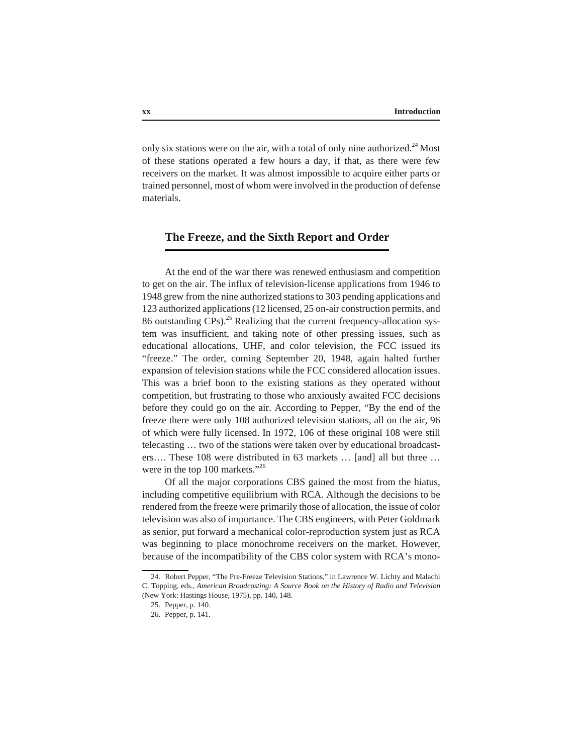only six stations were on the air, with a total of only nine authorized.<sup>24</sup> Most of these stations operated a few hours a day, if that, as there were few receivers on the market. It was almost impossible to acquire either parts or trained personnel, most of whom were involved in the production of defense materials.

## **The Freeze, and the Sixth Report and Order**

At the end of the war there was renewed enthusiasm and competition to get on the air. The influx of television-license applications from 1946 to 1948 grew from the nine authorized stations to 303 pending applications and 123 authorized applications (12 licensed, 25 on-air construction permits, and 86 outstanding  $CPs$ ).<sup>25</sup> Realizing that the current frequency-allocation system was insufficient, and taking note of other pressing issues, such as educational allocations, UHF, and color television, the FCC issued its "freeze." The order, coming September 20, 1948, again halted further expansion of television stations while the FCC considered allocation issues. This was a brief boon to the existing stations as they operated without competition, but frustrating to those who anxiously awaited FCC decisions before they could go on the air. According to Pepper, "By the end of the freeze there were only 108 authorized television stations, all on the air, 96 of which were fully licensed. In 1972, 106 of these original 108 were still telecasting … two of the stations were taken over by educational broadcasters…. These 108 were distributed in 63 markets … [and] all but three … were in the top 100 markets."<sup>26</sup>

Of all the major corporations CBS gained the most from the hiatus, including competitive equilibrium with RCA. Although the decisions to be rendered from the freeze were primarily those of allocation, the issue of color television was also of importance. The CBS engineers, with Peter Goldmark as senior, put forward a mechanical color-reproduction system just as RCA was beginning to place monochrome receivers on the market. However, because of the incompatibility of the CBS color system with RCA's mono-

<sup>24.</sup> Robert Pepper, "The Pre-Freeze Television Stations," in Lawrence W. Lichty and Malachi C. Topping, eds., *American Broadcasting: A Source Book on the History of Radio and Television* (New York: Hastings House, 1975), pp. 140, 148.

<sup>25.</sup> Pepper, p. 140.

<sup>26.</sup> Pepper, p. 141.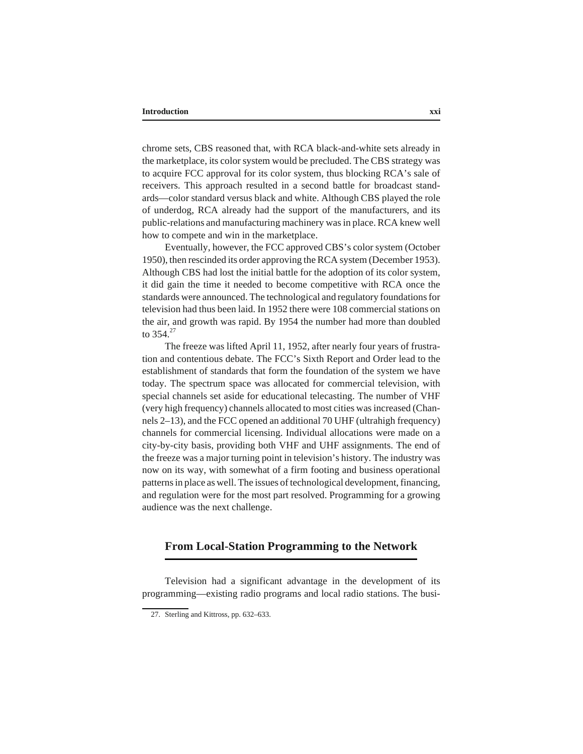chrome sets, CBS reasoned that, with RCA black-and-white sets already in the marketplace, its color system would be precluded. The CBS strategy was to acquire FCC approval for its color system, thus blocking RCA's sale of receivers. This approach resulted in a second battle for broadcast standards—color standard versus black and white. Although CBS played the role of underdog, RCA already had the support of the manufacturers, and its public-relations and manufacturing machinery was in place. RCA knew well how to compete and win in the marketplace.

Eventually, however, the FCC approved CBS's color system (October 1950), then rescinded its order approving the RCA system (December 1953). Although CBS had lost the initial battle for the adoption of its color system, it did gain the time it needed to become competitive with RCA once the standards were announced. The technological and regulatory foundations for television had thus been laid. In 1952 there were 108 commercial stations on the air, and growth was rapid. By 1954 the number had more than doubled to  $354.<sup>27</sup>$ 

The freeze was lifted April 11, 1952, after nearly four years of frustration and contentious debate. The FCC's Sixth Report and Order lead to the establishment of standards that form the foundation of the system we have today. The spectrum space was allocated for commercial television, with special channels set aside for educational telecasting. The number of VHF (very high frequency) channels allocated to most cities was increased (Channels 2–13), and the FCC opened an additional 70 UHF (ultrahigh frequency) channels for commercial licensing. Individual allocations were made on a city-by-city basis, providing both VHF and UHF assignments. The end of the freeze was a major turning point in television's history. The industry was now on its way, with somewhat of a firm footing and business operational patterns in place as well. The issues of technological development, financing, and regulation were for the most part resolved. Programming for a growing audience was the next challenge.

# **From Local-Station Programming to the Network**

Television had a significant advantage in the development of its programming—existing radio programs and local radio stations. The busi-

<sup>27.</sup> Sterling and Kittross, pp. 632–633.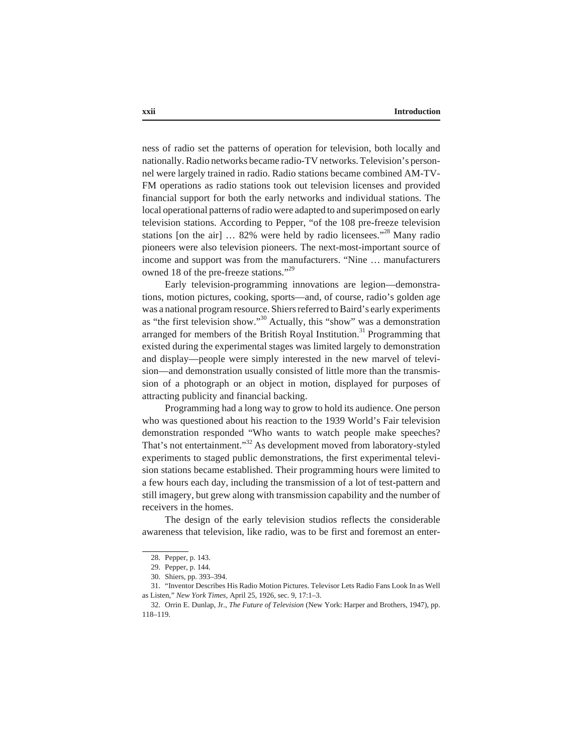ness of radio set the patterns of operation for television, both locally and nationally. Radio networks became radio-TV networks. Television's personnel were largely trained in radio. Radio stations became combined AM-TV-FM operations as radio stations took out television licenses and provided financial support for both the early networks and individual stations. The local operational patterns of radio were adapted to and superimposed on early television stations. According to Pepper, "of the 108 pre-freeze television stations [on the air]  $\ldots$  82% were held by radio licensees."<sup>28</sup> Many radio pioneers were also television pioneers. The next-most-important source of income and support was from the manufacturers. "Nine … manufacturers owned 18 of the pre-freeze stations."<sup>29</sup>

Early television-programming innovations are legion—demonstrations, motion pictures, cooking, sports—and, of course, radio's golden age was a national program resource. Shiers referred to Baird's early experiments as "the first television show."<sup>30</sup> Actually, this "show" was a demonstration arranged for members of the British Royal Institution.<sup>31</sup> Programming that existed during the experimental stages was limited largely to demonstration and display—people were simply interested in the new marvel of television—and demonstration usually consisted of little more than the transmission of a photograph or an object in motion, displayed for purposes of attracting publicity and financial backing.

Programming had a long way to grow to hold its audience. One person who was questioned about his reaction to the 1939 World's Fair television demonstration responded "Who wants to watch people make speeches? That's not entertainment."<sup>32</sup> As development moved from laboratory-styled experiments to staged public demonstrations, the first experimental television stations became established. Their programming hours were limited to a few hours each day, including the transmission of a lot of test-pattern and still imagery, but grew along with transmission capability and the number of receivers in the homes.

The design of the early television studios reflects the considerable awareness that television, like radio, was to be first and foremost an enter-

<sup>28.</sup> Pepper, p. 143.

<sup>29.</sup> Pepper, p. 144.

<sup>30.</sup> Shiers, pp. 393–394.

<sup>31. &</sup>quot;Inventor Describes His Radio Motion Pictures. Televisor Lets Radio Fans Look In as Well as Listen," *New York Times,* April 25, 1926, sec. 9, 17:1–3.

<sup>32.</sup> Orrin E. Dunlap, Jr., *The Future of Television* (New York: Harper and Brothers, 1947), pp. 118–119.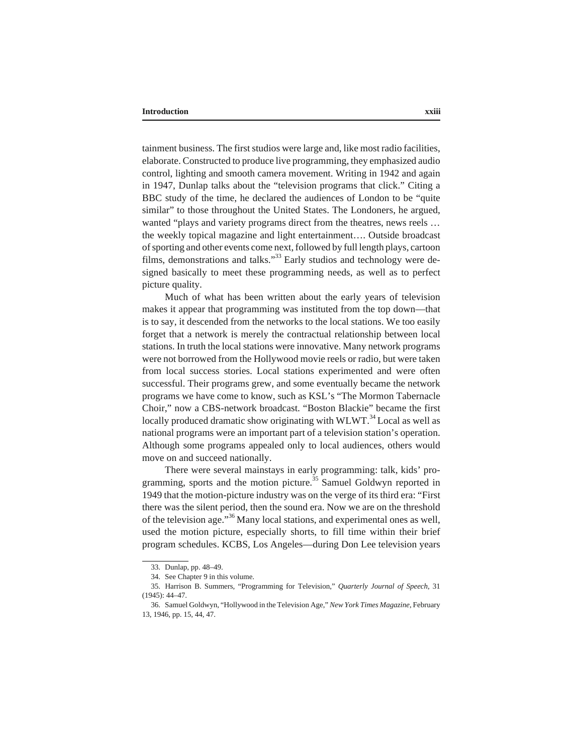tainment business. The first studios were large and, like most radio facilities, elaborate. Constructed to produce live programming, they emphasized audio control, lighting and smooth camera movement. Writing in 1942 and again in 1947, Dunlap talks about the "television programs that click." Citing a BBC study of the time, he declared the audiences of London to be "quite similar" to those throughout the United States. The Londoners, he argued, wanted "plays and variety programs direct from the theatres, news reels … the weekly topical magazine and light entertainment…. Outside broadcast of sporting and other events come next, followed by full length plays, cartoon films, demonstrations and talks."<sup>33</sup> Early studios and technology were designed basically to meet these programming needs, as well as to perfect picture quality.

Much of what has been written about the early years of television makes it appear that programming was instituted from the top down—that is to say, it descended from the networks to the local stations. We too easily forget that a network is merely the contractual relationship between local stations. In truth the local stations were innovative. Many network programs were not borrowed from the Hollywood movie reels or radio, but were taken from local success stories. Local stations experimented and were often successful. Their programs grew, and some eventually became the network programs we have come to know, such as KSL's "The Mormon Tabernacle Choir," now a CBS-network broadcast. "Boston Blackie" became the first locally produced dramatic show originating with  $W L W T$ <sup>34</sup> Local as well as national programs were an important part of a television station's operation. Although some programs appealed only to local audiences, others would move on and succeed nationally.

There were several mainstays in early programming: talk, kids' programming, sports and the motion picture.<sup>35</sup> Samuel Goldwyn reported in 1949 that the motion-picture industry was on the verge of its third era: "First there was the silent period, then the sound era. Now we are on the threshold of the television age."<sup>36</sup> Many local stations, and experimental ones as well, used the motion picture, especially shorts, to fill time within their brief program schedules. KCBS, Los Angeles—during Don Lee television years

<sup>33.</sup> Dunlap, pp. 48–49.

<sup>34.</sup> See Chapter 9 in this volume.

<sup>35.</sup> Harrison B. Summers, "Programming for Television," *Quarterly Journal of Speech,* 31 (1945): 44–47.

<sup>36.</sup> Samuel Goldwyn, "Hollywood in the Television Age," *New York Times Magazine*, February 13, 1946, pp. 15, 44, 47.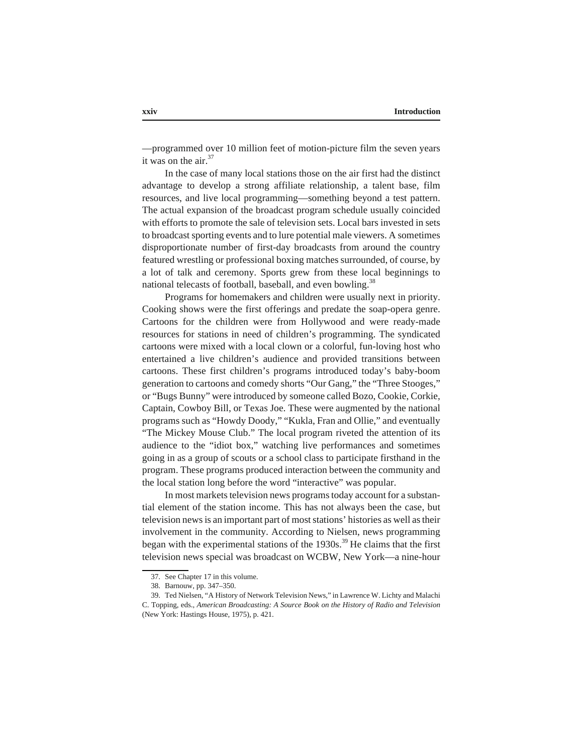—programmed over 10 million feet of motion-picture film the seven years it was on the air.<sup>37</sup>

In the case of many local stations those on the air first had the distinct advantage to develop a strong affiliate relationship, a talent base, film resources, and live local programming—something beyond a test pattern. The actual expansion of the broadcast program schedule usually coincided with efforts to promote the sale of television sets. Local bars invested in sets to broadcast sporting events and to lure potential male viewers. A sometimes disproportionate number of first-day broadcasts from around the country featured wrestling or professional boxing matches surrounded, of course, by a lot of talk and ceremony. Sports grew from these local beginnings to national telecasts of football, baseball, and even bowling.<sup>38</sup>

Programs for homemakers and children were usually next in priority. Cooking shows were the first offerings and predate the soap-opera genre. Cartoons for the children were from Hollywood and were ready-made resources for stations in need of children's programming. The syndicated cartoons were mixed with a local clown or a colorful, fun-loving host who entertained a live children's audience and provided transitions between cartoons. These first children's programs introduced today's baby-boom generation to cartoons and comedy shorts "Our Gang," the "Three Stooges," or "Bugs Bunny" were introduced by someone called Bozo, Cookie, Corkie, Captain, Cowboy Bill, or Texas Joe. These were augmented by the national programs such as "Howdy Doody," "Kukla, Fran and Ollie," and eventually "The Mickey Mouse Club." The local program riveted the attention of its audience to the "idiot box," watching live performances and sometimes going in as a group of scouts or a school class to participate firsthand in the program. These programs produced interaction between the community and the local station long before the word "interactive" was popular.

In most markets television news programs today account for a substantial element of the station income. This has not always been the case, but television news is an important part of most stations' histories as well as their involvement in the community. According to Nielsen, news programming began with the experimental stations of the  $1930s$ .<sup>39</sup> He claims that the first television news special was broadcast on WCBW, New York—a nine-hour

<sup>37.</sup> See Chapter 17 in this volume.

<sup>38.</sup> Barnouw, pp. 347–350.

<sup>39.</sup> Ted Nielsen, "A History of Network Television News," in Lawrence W. Lichty and Malachi C. Topping, eds., *American Broadcasting: A Source Book on the History of Radio and Television* (New York: Hastings House, 1975), p. 421.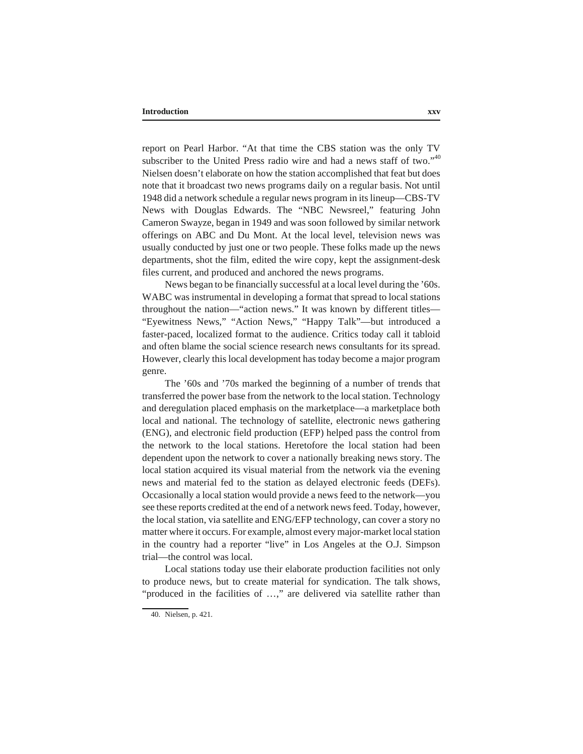report on Pearl Harbor. "At that time the CBS station was the only TV subscriber to the United Press radio wire and had a news staff of two."<sup>40</sup> Nielsen doesn't elaborate on how the station accomplished that feat but does note that it broadcast two news programs daily on a regular basis. Not until 1948 did a network schedule a regular news program in its lineup—CBS-TV News with Douglas Edwards. The "NBC Newsreel," featuring John Cameron Swayze, began in 1949 and was soon followed by similar network offerings on ABC and Du Mont. At the local level, television news was usually conducted by just one or two people. These folks made up the news departments, shot the film, edited the wire copy, kept the assignment-desk files current, and produced and anchored the news programs.

News began to be financially successful at a local level during the '60s. WABC was instrumental in developing a format that spread to local stations throughout the nation—"action news." It was known by different titles— "Eyewitness News," "Action News," "Happy Talk"—but introduced a faster-paced, localized format to the audience. Critics today call it tabloid and often blame the social science research news consultants for its spread. However, clearly this local development has today become a major program genre.

The '60s and '70s marked the beginning of a number of trends that transferred the power base from the network to the local station. Technology and deregulation placed emphasis on the marketplace—a marketplace both local and national. The technology of satellite, electronic news gathering (ENG), and electronic field production (EFP) helped pass the control from the network to the local stations. Heretofore the local station had been dependent upon the network to cover a nationally breaking news story. The local station acquired its visual material from the network via the evening news and material fed to the station as delayed electronic feeds (DEFs). Occasionally a local station would provide a news feed to the network—you see these reports credited at the end of a network news feed. Today, however, the local station, via satellite and ENG/EFP technology, can cover a story no matter where it occurs. For example, almost every major-market local station in the country had a reporter "live" in Los Angeles at the O.J. Simpson trial—the control was local.

Local stations today use their elaborate production facilities not only to produce news, but to create material for syndication. The talk shows, "produced in the facilities of …," are delivered via satellite rather than

<sup>40.</sup> Nielsen, p. 421.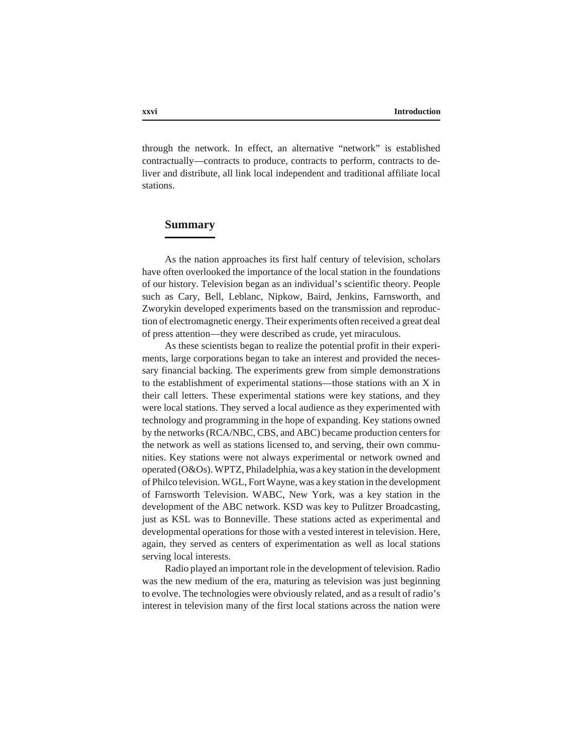through the network. In effect, an alternative "network" is established contractually—contracts to produce, contracts to perform, contracts to deliver and distribute, all link local independent and traditional affiliate local stations.

## **Summary**

As the nation approaches its first half century of television, scholars have often overlooked the importance of the local station in the foundations of our history. Television began as an individual's scientific theory. People such as Cary, Bell, Leblanc, Nipkow, Baird, Jenkins, Farnsworth, and Zworykin developed experiments based on the transmission and reproduction of electromagnetic energy. Their experiments often received a great deal of press attention—they were described as crude, yet miraculous.

As these scientists began to realize the potential profit in their experiments, large corporations began to take an interest and provided the necessary financial backing. The experiments grew from simple demonstrations to the establishment of experimental stations—those stations with an X in their call letters. These experimental stations were key stations, and they were local stations. They served a local audience as they experimented with technology and programming in the hope of expanding. Key stations owned by the networks (RCA/NBC, CBS, and ABC) became production centers for the network as well as stations licensed to, and serving, their own communities. Key stations were not always experimental or network owned and operated (O&Os). WPTZ, Philadelphia, was a key station in the development of Philco television. WGL, Fort Wayne, was a key station in the development of Farnsworth Television. WABC, New York, was a key station in the development of the ABC network. KSD was key to Pulitzer Broadcasting, just as KSL was to Bonneville. These stations acted as experimental and developmental operations for those with a vested interest in television. Here, again, they served as centers of experimentation as well as local stations serving local interests.

Radio played an important role in the development of television. Radio was the new medium of the era, maturing as television was just beginning to evolve. The technologies were obviously related, and as a result of radio's interest in television many of the first local stations across the nation were